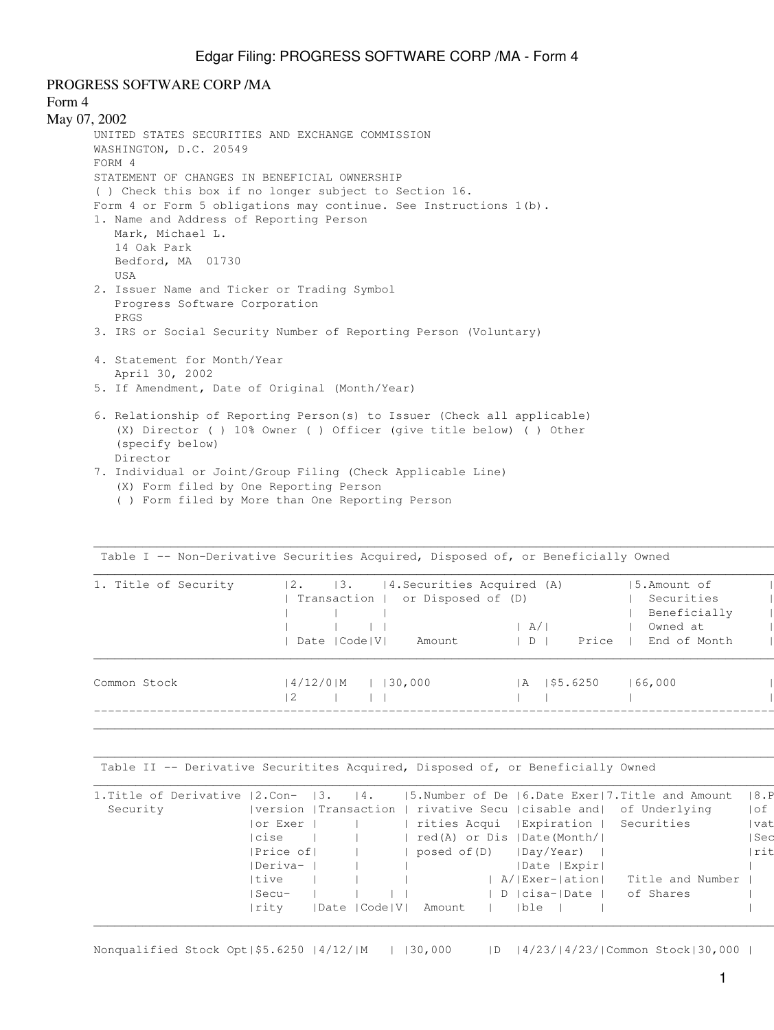PROGRESS SOFTWARE CORP /MA

```
Form 4
May 07, 2002
      UNITED STATES SECURITIES AND EXCHANGE COMMISSION
      WASHINGTON, D.C. 20549
      FORM 4
      STATEMENT OF CHANGES IN BENEFICIAL OWNERSHIP
      ( ) Check this box if no longer subject to Section 16.
      Form 4 or Form 5 obligations may continue. See Instructions 1(b).
      1. Name and Address of Reporting Person
          Mark, Michael L.
          14 Oak Park
          Bedford, MA 01730
          USA
      2. Issuer Name and Ticker or Trading Symbol
          Progress Software Corporation
          PRGS
      3. IRS or Social Security Number of Reporting Person (Voluntary)
      4. Statement for Month/Year
          April 30, 2002
      5. If Amendment, Date of Original (Month/Year)
      6. Relationship of Reporting Person(s) to Issuer (Check all applicable)
           (X) Director ( ) 10% Owner ( ) Officer (give title below) ( ) Other
           (specify below)
          Director
```
- 7. Individual or Joint/Group Filing (Check Applicable Line) (X) Form filed by One Reporting Person
	- ( ) Form filed by More than One Reporting Person

| 1. Title of Security | 4. Securities Acquired (A)<br> 2.<br>$\vert 3.$<br>Transaction   or Disposed of (D)<br>Date   Code   V  <br>Amount | A/1<br>Price<br>$\Box$    | 15.Amount of<br>Securities<br>Beneficially<br>Owned at<br>End of Month |  |
|----------------------|--------------------------------------------------------------------------------------------------------------------|---------------------------|------------------------------------------------------------------------|--|
| Common Stock         | $14/12/0$   M<br>$ $   30,000<br>-2                                                                                | 1\$5.6250<br>$\mathsf{A}$ | 166,000                                                                |  |

 $\Box$ 

 $\Box$ 

Table I -- Non-Derivative Securities Acquired, Disposed of, or Beneficially Owned |

Table II -- Derivative Securitites Acquired, Disposed of, or Beneficially Owned

| 1. Title of Derivative | l2.Con-              | 13. | $\vert 4$ .     |              |              |      |                            | $ 5.$ Number of De $ 6.$ Date Exer   7. Title and Amount |                  | 18.P  |
|------------------------|----------------------|-----|-----------------|--------------|--------------|------|----------------------------|----------------------------------------------------------|------------------|-------|
| Security               | version  Transaction |     |                 |              |              |      |                            | rivative Secu   cisable and  of Underlying               |                  | l of  |
|                        | or Exer              |     |                 |              | rities Acqui |      | Expiration                 | Securities                                               |                  | vat   |
|                        | cise                 |     |                 |              |              |      | red(A) or Dis  Date(Month/ |                                                          |                  | l Sec |
|                        | Price of             |     |                 | posed of (D) |              |      | Day/Year)                  |                                                          |                  | rit   |
|                        | Deriva-              |     |                 |              |              |      | Date   Expir               |                                                          |                  |       |
|                        | Itive                |     |                 |              |              |      | A/ Exer- ation             |                                                          | Title and Number |       |
|                        | Secu-                |     |                 |              |              |      | D  cisa- Date              | of Shares                                                |                  |       |
|                        | rity                 |     | Date   Code   V | Amount       |              | Ible |                            |                                                          |                  |       |